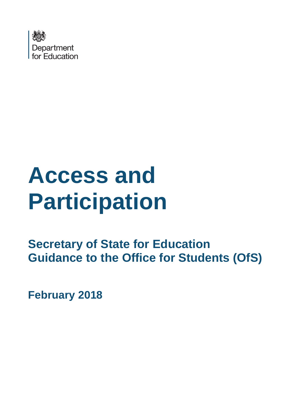

# **Access and Participation**

**Secretary of State for Education Guidance to the Office for Students (OfS)** 

**February 2018**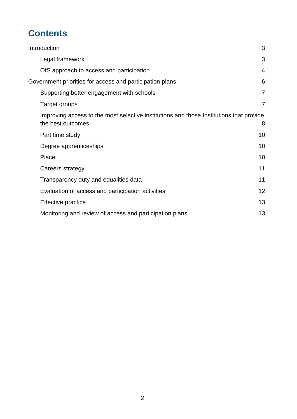# **Contents**

| Introduction                                                                                                  | 3              |
|---------------------------------------------------------------------------------------------------------------|----------------|
| Legal framework                                                                                               | 3              |
| OfS approach to access and participation                                                                      | 4              |
| Government priorities for access and participation plans                                                      | 6              |
| Supporting better engagement with schools                                                                     | $\overline{7}$ |
| Target groups                                                                                                 | $\overline{7}$ |
| Improving access to the most selective institutions and those Institutions that provide<br>the best outcomes. | 8              |
| Part time study                                                                                               | 10             |
| Degree apprenticeships                                                                                        | 10             |
| Place                                                                                                         | 10             |
| Careers strategy                                                                                              | 11             |
| Transparency duty and equalities data                                                                         | 11             |
| Evaluation of access and participation activities                                                             | 12             |
| Effective practice                                                                                            | 13             |
| Monitoring and review of access and participation plans                                                       | 13             |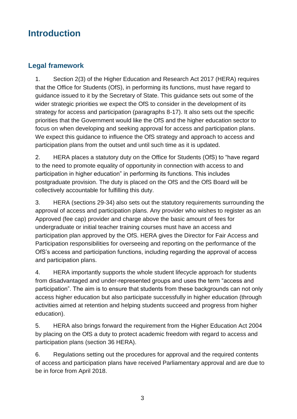# <span id="page-2-0"></span>**Introduction**

## <span id="page-2-1"></span>**Legal framework**

1. Section 2(3) of the Higher Education and Research Act 2017 (HERA) requires that the Office for Students (OfS), in performing its functions, must have regard to guidance issued to it by the Secretary of State. This guidance sets out some of the wider strategic priorities we expect the OfS to consider in the development of its strategy for access and participation (paragraphs 8-17). It also sets out the specific priorities that the Government would like the OfS and the higher education sector to focus on when developing and seeking approval for access and participation plans. We expect this guidance to influence the OfS strategy and approach to access and participation plans from the outset and until such time as it is updated.

2. HERA places a statutory duty on the Office for Students (OfS) to "have regard to the need to promote equality of opportunity in connection with access to and participation in higher education" in performing its functions. This includes postgraduate provision. The duty is placed on the OfS and the OfS Board will be collectively accountable for fulfilling this duty.

3. HERA (sections 29-34) also sets out the statutory requirements surrounding the approval of access and participation plans. Any provider who wishes to register as an Approved (fee cap) provider and charge above the basic amount of fees for undergraduate or initial teacher training courses must have an access and participation plan approved by the OfS. HERA gives the Director for Fair Access and Participation responsibilities for overseeing and reporting on the performance of the OfS's access and participation functions, including regarding the approval of access and participation plans.

4. HERA importantly supports the whole student lifecycle approach for students from disadvantaged and under-represented groups and uses the term "access and participation". The aim is to ensure that students from these backgrounds can not only access higher education but also participate successfully in higher education (through activities aimed at retention and helping students succeed and progress from higher education).

5. HERA also brings forward the requirement from the Higher Education Act 2004 by placing on the OfS a duty to protect academic freedom with regard to access and participation plans (section 36 HERA).

6. Regulations setting out the procedures for approval and the required contents of access and participation plans have received Parliamentary approval and are due to be in force from April 2018.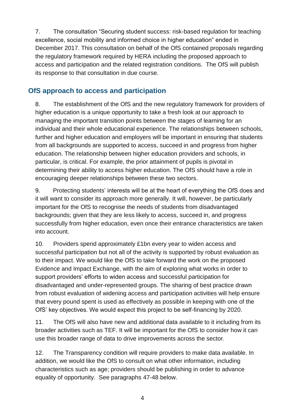7. The consultation "Securing student success: risk-based regulation for teaching excellence, social mobility and informed choice in higher education" ended in December 2017. This consultation on behalf of the OfS contained proposals regarding the regulatory framework required by HERA including the proposed approach to access and participation and the related registration conditions. The OfS will publish its response to that consultation in due course.

### <span id="page-3-0"></span>**OfS approach to access and participation**

8. The establishment of the OfS and the new regulatory framework for providers of higher education is a unique opportunity to take a fresh look at our approach to managing the important transition points between the stages of learning for an individual and their whole educational experience. The relationships between schools, further and higher education and employers will be important in ensuring that students from all backgrounds are supported to access, succeed in and progress from higher education. The relationship between higher education providers and schools, in particular, is critical. For example, the prior attainment of pupils is pivotal in determining their ability to access higher education. The OfS should have a role in encouraging deeper relationships between these two sectors.

9. Protecting students' interests will be at the heart of everything the OfS does and it will want to consider its approach more generally. It will, however, be particularly important for the OfS to recognise the needs of students from disadvantaged backgrounds; given that they are less likely to access, succeed in, and progress successfully from higher education, even once their entrance characteristics are taken into account.

10. Providers spend approximately £1bn every year to widen access and successful participation but not all of the activity is supported by robust evaluation as to their impact. We would like the OfS to take forward the work on the proposed Evidence and Impact Exchange, with the aim of exploring what works in order to support providers' efforts to widen access and successful participation for disadvantaged and under-represented groups. The sharing of best practice drawn from robust evaluation of widening access and participation activities will help ensure that every pound spent is used as effectively as possible in keeping with one of the OfS' key objectives. We would expect this project to be self-financing by 2020.

11. The OfS will also have new and additional data available to it including from its broader activities such as TEF. It will be important for the OfS to consider how it can use this broader range of data to drive improvements across the sector.

12. The Transparency condition will require providers to make data available. In addition, we would like the OfS to consult on what other information, including characteristics such as age; providers should be publishing in order to advance equality of opportunity. See paragraphs 47-48 below.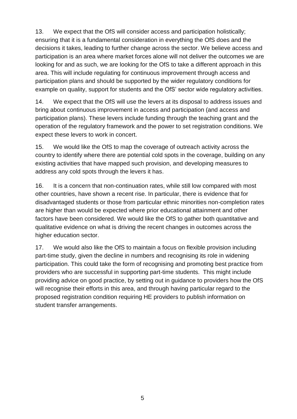13. We expect that the OfS will consider access and participation holistically; ensuring that it is a fundamental consideration in everything the OfS does and the decisions it takes, leading to further change across the sector. We believe access and participation is an area where market forces alone will not deliver the outcomes we are looking for and as such, we are looking for the OfS to take a different approach in this area. This will include regulating for continuous improvement through access and participation plans and should be supported by the wider regulatory conditions for example on quality, support for students and the OfS' sector wide regulatory activities.

14. We expect that the OfS will use the levers at its disposal to address issues and bring about continuous improvement in access and participation (and access and participation plans). These levers include funding through the teaching grant and the operation of the regulatory framework and the power to set registration conditions. We expect these levers to work in concert.

15. We would like the OfS to map the coverage of outreach activity across the country to identify where there are potential cold spots in the coverage, building on any existing activities that have mapped such provision, and developing measures to address any cold spots through the levers it has.

16. It is a concern that non-continuation rates, while still low compared with most other countries, have shown a recent rise. In particular, there is evidence that for disadvantaged students or those from particular ethnic minorities non-completion rates are higher than would be expected where prior educational attainment and other factors have been considered. We would like the OfS to gather both quantitative and qualitative evidence on what is driving the recent changes in outcomes across the higher education sector.

17. We would also like the OfS to maintain a focus on flexible provision including part-time study, given the decline in numbers and recognising its role in widening participation. This could take the form of recognising and promoting best practice from providers who are successful in supporting part-time students. This might include providing advice on good practice, by setting out in guidance to providers how the OfS will recognise their efforts in this area, and through having particular regard to the proposed registration condition requiring HE providers to publish information on student transfer arrangements.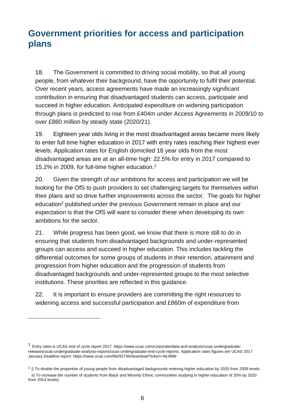# <span id="page-5-0"></span>**Government priorities for access and participation plans**

18. The Government is committed to driving social mobility, so that all young people, from whatever their background, have the opportunity to fulfil their potential. Over recent years, access agreements have made an increasingly significant contribution in ensuring that disadvantaged students can access, participate and succeed in higher education. Anticipated expenditure on widening participation through plans is predicted to rise from £404m under Access Agreements in 2009/10 to over £860 million by steady state (2020/21).

19. Eighteen year olds living in the most disadvantaged areas became more likely to enter full time higher education in 2017 with entry rates reaching their highest ever levels. Application rates for English domiciled 18 year olds from the most disadvantaged areas are at an all-time high: 22.5% for entry in 2017 compared to 15.2% in 2009, for full-time higher education. 1

20. Given the strength of our ambitions for access and participation we will be looking for the OfS to push providers to set challenging targets for themselves within their plans and so drive further improvements across the sector. The goals for higher education<sup>2</sup> published under the previous Government remain in place and our expectation is that the OfS will want to consider these when developing its own ambitions for the sector.

21. While progress has been good, we know that there is more still to do in ensuring that students from disadvantaged backgrounds and under-represented groups can access and succeed in higher education. This includes tackling the differential outcomes for some groups of students in their retention, attainment and progression from higher education and the progression of students from disadvantaged backgrounds and under-represented groups to the most selective institutions. These priorities are reflected in this guidance.

22. It is important to ensure providers are committing the right resources to widening access and successful participation and £860m of expenditure from

-

 $<sup>1</sup>$  Entry rates is UCAS end of cycle report 2017: https://www.ucas.com/corporate/data-and-analysis/ucas-undergraduate-</sup> [releases/ucas-undergraduate-analysis-reports/ucas-undergraduate-end-cycle-reports.](https://www.ucas.com/corporate/data-and-analysis/ucas-undergraduate-releases/ucas-undergraduate-analysis-reports/ucas-undergraduate-end-cycle-reports) Application rates figures are UCAS 2017 January Deadline report[: https://www.ucas.com/file/92746/download?token=4Ij-BMlr](https://www.ucas.com/file/92746/download?token=4Ij-BMlr)

 $^2$  i) To double the proportion of young people from disadvantaged backgrounds entering higher education by 2020 from 2009 levels. ii) To increase the number of students from Black and Minority Ethnic communities studying in higher education of 20% by 2020 from 2014 levels)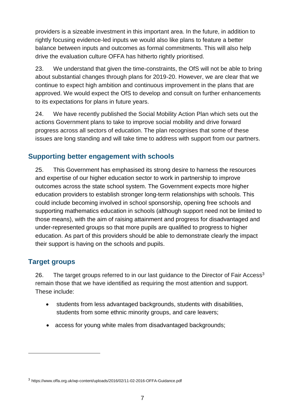providers is a sizeable investment in this important area. In the future, in addition to rightly focusing evidence-led inputs we would also like plans to feature a better balance between inputs and outcomes as formal commitments. This will also help drive the evaluation culture OFFA has hitherto rightly prioritised.

23. We understand that given the time-constraints, the OfS will not be able to bring about substantial changes through plans for 2019-20. However, we are clear that we continue to expect high ambition and continuous improvement in the plans that are approved. We would expect the OfS to develop and consult on further enhancements to its expectations for plans in future years.

24. We have recently published the Social Mobility Action Plan which sets out the actions Government plans to take to improve social mobility and drive forward progress across all sectors of education. The plan recognises that some of these issues are long standing and will take time to address with support from our partners.

# <span id="page-6-0"></span>**Supporting better engagement with schools**

25. This Government has emphasised its strong desire to harness the resources and expertise of our higher education sector to work in partnership to improve outcomes across the state school system. The Government expects more higher education providers to establish stronger long-term relationships with schools. This could include becoming involved in school sponsorship, opening free schools and supporting mathematics education in schools (although support need not be limited to those means), with the aim of raising attainment and progress for disadvantaged and under-represented groups so that more pupils are qualified to progress to higher education. As part of this providers should be able to demonstrate clearly the impact their support is having on the schools and pupils.

#### <span id="page-6-1"></span>**Target groups**

-

26. The target groups referred to in our last guidance to the Director of Fair Access<sup>3</sup> remain those that we have identified as requiring the most attention and support. These include:

- students from less advantaged backgrounds, students with disabilities, students from some ethnic minority groups, and care leavers;
- access for young white males from disadvantaged backgrounds;

<sup>3</sup> <https://www.offa.org.uk/wp-content/uploads/2016/02/11-02-2016-OFFA-Guidance.pdf>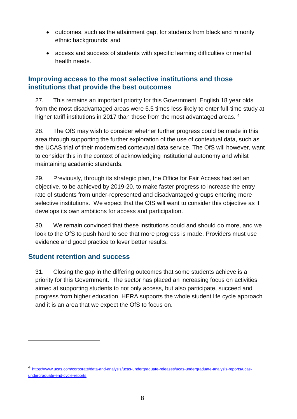- outcomes, such as the attainment gap, for students from black and minority ethnic backgrounds; and
- access and success of students with specific learning difficulties or mental health needs.

#### <span id="page-7-0"></span>**Improving access to the most selective institutions and those institutions that provide the best outcomes**

27. This remains an important priority for this Government. English 18 year olds from the most disadvantaged areas were 5.5 times less likely to enter full-time study at higher tariff institutions in 2017 than those from the most advantaged areas. <sup>4</sup>

28. The OfS may wish to consider whether further progress could be made in this area through supporting the further exploration of the use of contextual data, such as the UCAS trial of their modernised contextual data service. The OfS will however, want to consider this in the context of acknowledging institutional autonomy and whilst maintaining academic standards.

29. Previously, through its strategic plan, the Office for Fair Access had set an objective, to be achieved by 2019-20, to make faster progress to increase the entry rate of students from under-represented and disadvantaged groups entering more selective institutions. We expect that the OfS will want to consider this objective as it develops its own ambitions for access and participation.

30. We remain convinced that these institutions could and should do more, and we look to the OfS to push hard to see that more progress is made. Providers must use evidence and good practice to lever better results.

#### **Student retention and success**

-

31. Closing the gap in the differing outcomes that some students achieve is a priority for this Government. The sector has placed an increasing focus on activities aimed at supporting students to not only access, but also participate, succeed and progress from higher education. HERA supports the whole student life cycle approach and it is an area that we expect the OfS to focus on.

<sup>4</sup> [https://www.ucas.com/corporate/data-and-analysis/ucas-undergraduate-releases/ucas-undergraduate-analysis-reports/ucas](https://www.ucas.com/corporate/data-and-analysis/ucas-undergraduate-releases/ucas-undergraduate-analysis-reports/ucas-undergraduate-end-cycle-reports)[undergraduate-end-cycle-reports](https://www.ucas.com/corporate/data-and-analysis/ucas-undergraduate-releases/ucas-undergraduate-analysis-reports/ucas-undergraduate-end-cycle-reports)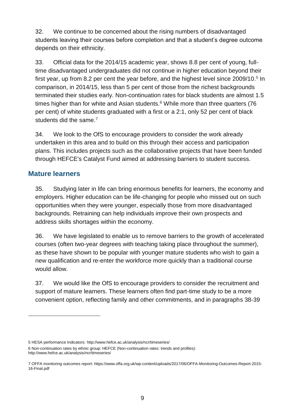32. We continue to be concerned about the rising numbers of disadvantaged students leaving their courses before completion and that a student's degree outcome depends on their ethnicity.

33. Official data for the 2014/15 academic year, shows 8.8 per cent of young, fulltime disadvantaged undergraduates did not continue in higher education beyond their first year, up from 8.2 per cent the year before, and the highest level since 2009/10.<sup>5</sup> In comparison, in 2014/15, less than 5 per cent of those from the richest backgrounds terminated their studies early. Non-continuation rates for black students are almost 1.5 times higher than for white and Asian students. <sup>6</sup> While more than three quarters (76 per cent) of white students graduated with a first or a 2:1, only 52 per cent of black students did the same.<sup>7</sup>

34. We look to the OfS to encourage providers to consider the work already undertaken in this area and to build on this through their access and participation plans. This includes projects such as the collaborative projects that have been funded through HEFCE's Catalyst Fund aimed at addressing barriers to student success.

#### **Mature learners**

-

35. Studying later in life can bring enormous benefits for learners, the economy and employers. Higher education can be life-changing for people who missed out on such opportunities when they were younger, especially those from more disadvantaged backgrounds. Retraining can help individuals improve their own prospects and address skills shortages within the economy.

36. We have legislated to enable us to remove barriers to the growth of accelerated courses (often two-year degrees with teaching taking place throughout the summer), as these have shown to be popular with younger mature students who wish to gain a new qualification and re-enter the workforce more quickly than a traditional course would allow.

37. We would like the OfS to encourage providers to consider the recruitment and support of mature learners. These learners often find part-time study to be a more convenient option, reflecting family and other commitments, and in paragraphs 38-39

<sup>5</sup> HESA performance Indicators: <http://www.hefce.ac.uk/analysis/ncr/timeseries/>

<sup>6</sup> Non-continuation rates by ethnic group: HEFCE (Non-continuation rates: trends and profiles): <http://www.hefce.ac.uk/analysis/ncr/timeseries/>

<sup>7</sup> OFFA monitoring outcomes report[: https://www.offa.org.uk/wp-content/uploads/2017/06/OFFA-Monitoring-Outcomes-Report-2015-](https://www.offa.org.uk/wp-content/uploads/2017/06/OFFA-Monitoring-Outcomes-Report-2015-16-Final.pdf) [16-Final.pdf](https://www.offa.org.uk/wp-content/uploads/2017/06/OFFA-Monitoring-Outcomes-Report-2015-16-Final.pdf)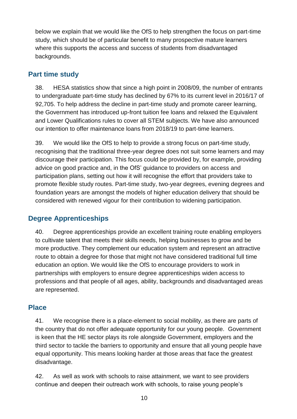below we explain that we would like the OfS to help strengthen the focus on part-time study, which should be of particular benefit to many prospective mature learners where this supports the access and success of students from disadvantaged backgrounds.

#### <span id="page-9-0"></span>**Part time study**

38. HESA statistics show that since a high point in 2008/09, the number of entrants to undergraduate part-time study has declined by 67% to its current level in 2016/17 of 92,705. To help address the decline in part-time study and promote career learning, the Government has introduced up-front tuition fee loans and relaxed the Equivalent and Lower Qualifications rules to cover all STEM subjects. We have also announced our intention to offer maintenance loans from 2018/19 to part-time learners.

39. We would like the OfS to help to provide a strong focus on part-time study, recognising that the traditional three-year degree does not suit some learners and may discourage their participation. This focus could be provided by, for example, providing advice on good practice and, in the OfS' guidance to providers on access and participation plans, setting out how it will recognise the effort that providers take to promote flexible study routes. Part-time study, two-year degrees, evening degrees and foundation years are amongst the models of higher education delivery that should be considered with renewed vigour for their contribution to widening participation.

# <span id="page-9-1"></span>**Degree Apprenticeships**

40. Degree apprenticeships provide an excellent training route enabling employers to cultivate talent that meets their skills needs, helping businesses to grow and be more productive. They complement our education system and represent an attractive route to obtain a degree for those that might not have considered traditional full time education an option. We would like the OfS to encourage providers to work in partnerships with employers to ensure degree apprenticeships widen access to professions and that people of all ages, ability, backgrounds and disadvantaged areas are represented.

# <span id="page-9-2"></span>**Place**

41. We recognise there is a place-element to social mobility, as there are parts of the country that do not offer adequate opportunity for our young people. Government is keen that the HE sector plays its role alongside Government, employers and the third sector to tackle the barriers to opportunity and ensure that all young people have equal opportunity. This means looking harder at those areas that face the greatest disadvantage.

42. As well as work with schools to raise attainment, we want to see providers continue and deepen their outreach work with schools, to raise young people's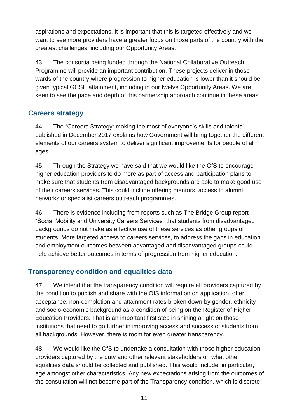aspirations and expectations. It is important that this is targeted effectively and we want to see more providers have a greater focus on those parts of the country with the greatest challenges, including our Opportunity Areas.

43. The consortia being funded through the National Collaborative Outreach Programme will provide an important contribution. These projects deliver in those wards of the country where progression to higher education is lower than it should be given typical GCSE attainment, including in our twelve Opportunity Areas. We are keen to see the pace and depth of this partnership approach continue in these areas.

# <span id="page-10-0"></span>**Careers strategy**

44. The "Careers Strategy: making the most of everyone's skills and talents" published in December 2017 explains how Government will bring together the different elements of our careers system to deliver significant improvements for people of all ages.

45. Through the Strategy we have said that we would like the OfS to encourage higher education providers to do more as part of access and participation plans to make sure that students from disadvantaged backgrounds are able to make good use of their careers services. This could include offering mentors, access to alumni networks or specialist careers outreach programmes.

46. There is evidence including from reports such as The Bridge Group report "Social Mobility and University Careers Services" that students from disadvantaged backgrounds do not make as effective use of these services as other groups of students. More targeted access to careers services, to address the gaps in education and employment outcomes between advantaged and disadvantaged groups could help achieve better outcomes in terms of progression from higher education.

# <span id="page-10-1"></span>**Transparency condition and equalities data**

47. We intend that the transparency condition will require all providers captured by the condition to publish and share with the OfS information on application, offer, acceptance, non-completion and attainment rates broken down by gender, ethnicity and socio-economic background as a condition of being on the Register of Higher Education Providers. That is an important first step in shining a light on those institutions that need to go further in improving access and success of students from all backgrounds. However, there is room for even greater transparency.

48. We would like the OfS to undertake a consultation with those higher education providers captured by the duty and other relevant stakeholders on what other equalities data should be collected and published. This would include, in particular, age amongst other characteristics. Any new expectations arising from the outcomes of the consultation will not become part of the Transparency condition, which is discrete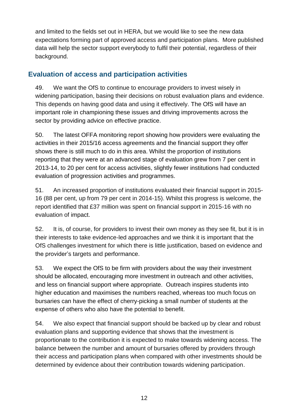and limited to the fields set out in HERA, but we would like to see the new data expectations forming part of approved access and participation plans. More published data will help the sector support everybody to fulfil their potential, regardless of their background.

## <span id="page-11-0"></span>**Evaluation of access and participation activities**

49. We want the OfS to continue to encourage providers to invest wisely in widening participation, basing their decisions on robust evaluation plans and evidence. This depends on having good data and using it effectively. The OfS will have an important role in championing these issues and driving improvements across the sector by providing advice on effective practice.

50. The latest OFFA monitoring report showing how providers were evaluating the activities in their 2015/16 access agreements and the financial support they offer shows there is still much to do in this area. Whilst the proportion of institutions reporting that they were at an advanced stage of evaluation grew from 7 per cent in 2013-14, to 20 per cent for access activities, slightly fewer institutions had conducted evaluation of progression activities and programmes.

51. An increased proportion of institutions evaluated their financial support in 2015- 16 (88 per cent, up from 79 per cent in 2014-15). Whilst this progress is welcome, the report identified that £37 million was spent on financial support in 2015-16 with no evaluation of impact.

52. It is, of course, for providers to invest their own money as they see fit, but it is in their interests to take evidence-led approaches and we think it is important that the OfS challenges investment for which there is little justification, based on evidence and the provider's targets and performance.

53. We expect the OfS to be firm with providers about the way their investment should be allocated, encouraging more investment in outreach and other activities, and less on financial support where appropriate. Outreach inspires students into higher education and maximises the numbers reached, whereas too much focus on bursaries can have the effect of cherry-picking a small number of students at the expense of others who also have the potential to benefit.

54. We also expect that financial support should be backed up by clear and robust evaluation plans and supporting evidence that shows that the investment is proportionate to the contribution it is expected to make towards widening access. The balance between the number and amount of bursaries offered by providers through their access and participation plans when compared with other investments should be determined by evidence about their contribution towards widening participation.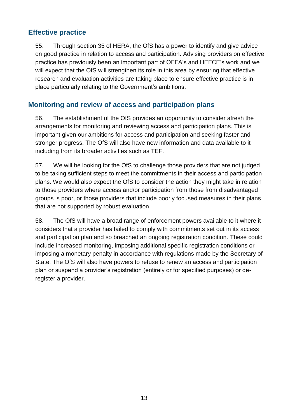#### <span id="page-12-0"></span>**Effective practice**

55. Through section 35 of HERA, the OfS has a power to identify and give advice on good practice in relation to access and participation. Advising providers on effective practice has previously been an important part of OFFA's and HEFCE's work and we will expect that the OfS will strengthen its role in this area by ensuring that effective research and evaluation activities are taking place to ensure effective practice is in place particularly relating to the Government's ambitions.

#### <span id="page-12-1"></span>**Monitoring and review of access and participation plans**

56. The establishment of the OfS provides an opportunity to consider afresh the arrangements for monitoring and reviewing access and participation plans. This is important given our ambitions for access and participation and seeking faster and stronger progress. The OfS will also have new information and data available to it including from its broader activities such as TEF.

57. We will be looking for the OfS to challenge those providers that are not judged to be taking sufficient steps to meet the commitments in their access and participation plans. We would also expect the OfS to consider the action they might take in relation to those providers where access and/or participation from those from disadvantaged groups is poor, or those providers that include poorly focused measures in their plans that are not supported by robust evaluation.

58. The OfS will have a broad range of enforcement powers available to it where it considers that a provider has failed to comply with commitments set out in its access and participation plan and so breached an ongoing registration condition. These could include increased monitoring, imposing additional specific registration conditions or imposing a monetary penalty in accordance with regulations made by the Secretary of State. The OfS will also have powers to refuse to renew an access and participation plan or suspend a provider's registration (entirely or for specified purposes) or deregister a provider.